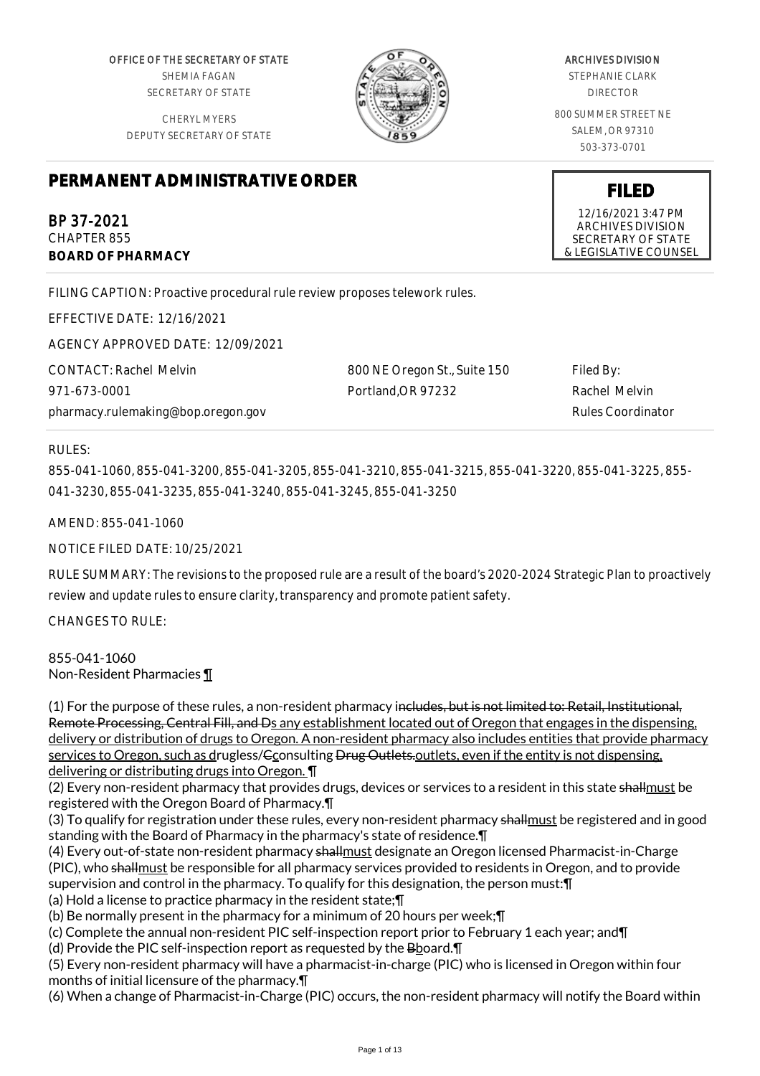OFFICE OF THE SECRETARY OF STATE SHEMIA FAGAN SECRETARY OF STATE

CHERYL MYERS DEPUTY SECRETARY OF STATE



#### ARCHIVES DIVISION

STEPHANIE CLARK DIRECTOR

800 SUMMER STREET NE SALEM, OR 97310 503-373-0701

**FILED** 12/16/2021 3:47 PM ARCHIVES DIVISION SECRETARY OF STATE & LEGISLATIVE COUNSEL

# **PERMANENT ADMINISTRATIVE ORDER**

BP 37-2021 CHAPTER 855 **BOARD OF PHARMACY**

FILING CAPTION: Proactive procedural rule review proposes telework rules.

EFFECTIVE DATE: 12/16/2021

AGENCY APPROVED DATE: 12/09/2021

CONTACT: Rachel Melvin 971-673-0001 pharmacy.rulemaking@bop.oregon.gov 800 NE Oregon St., Suite 150 Portland,OR 97232 Filed By: Rachel Melvin Rules Coordinator

# RULES:

855-041-1060, 855-041-3200, 855-041-3205, 855-041-3210, 855-041-3215, 855-041-3220, 855-041-3225, 855- 041-3230, 855-041-3235, 855-041-3240, 855-041-3245, 855-041-3250

AMEND: 855-041-1060

NOTICE FILED DATE: 10/25/2021

RULE SUMMARY: The revisions to the proposed rule are a result of the board's 2020-2024 Strategic Plan to proactively review and update rules to ensure clarity, transparency and promote patient safety.

CHANGES TO RULE:

855-041-1060 Non-Resident Pharmacies ¶

(1) For the purpose of these rules, a non-resident pharmacy includes, but is not limited to: Retail, Institutional, Remote Processing, Central Fill, and Ds any establishment located out of Oregon that engages in the dispensing, delivery or distribution of drugs to Oregon. A non-resident pharmacy also includes entities that provide pharmacy services to Oregon, such as drugless/<del>Consulting Drug Outlets.</del> outlets, even if the entity is not dispensing, delivering or distributing drugs into Oregon. ¶

(2) Every non-resident pharmacy that provides drugs, devices or services to a resident in this state shallmust be registered with the Oregon Board of Pharmacy.¶

(3) To qualify for registration under these rules, every non-resident pharmacy shallmust be registered and in good standing with the Board of Pharmacy in the pharmacy's state of residence.¶

(4) Every out-of-state non-resident pharmacy shallmust designate an Oregon licensed Pharmacist-in-Charge (PIC), who shallmust be responsible for all pharmacy services provided to residents in Oregon, and to provide supervision and control in the pharmacy. To qualify for this designation, the person must:¶

(a) Hold a license to practice pharmacy in the resident state;¶

(b) Be normally present in the pharmacy for a minimum of 20 hours per week;¶

(c) Complete the annual non-resident PIC self-inspection report prior to February 1 each year; and¶

(d) Provide the PIC self-inspection report as requested by the Bboard.¶

(5) Every non-resident pharmacy will have a pharmacist-in-charge (PIC) who is licensed in Oregon within four months of initial licensure of the pharmacy.¶

(6) When a change of Pharmacist-in-Charge (PIC) occurs, the non-resident pharmacy will notify the Board within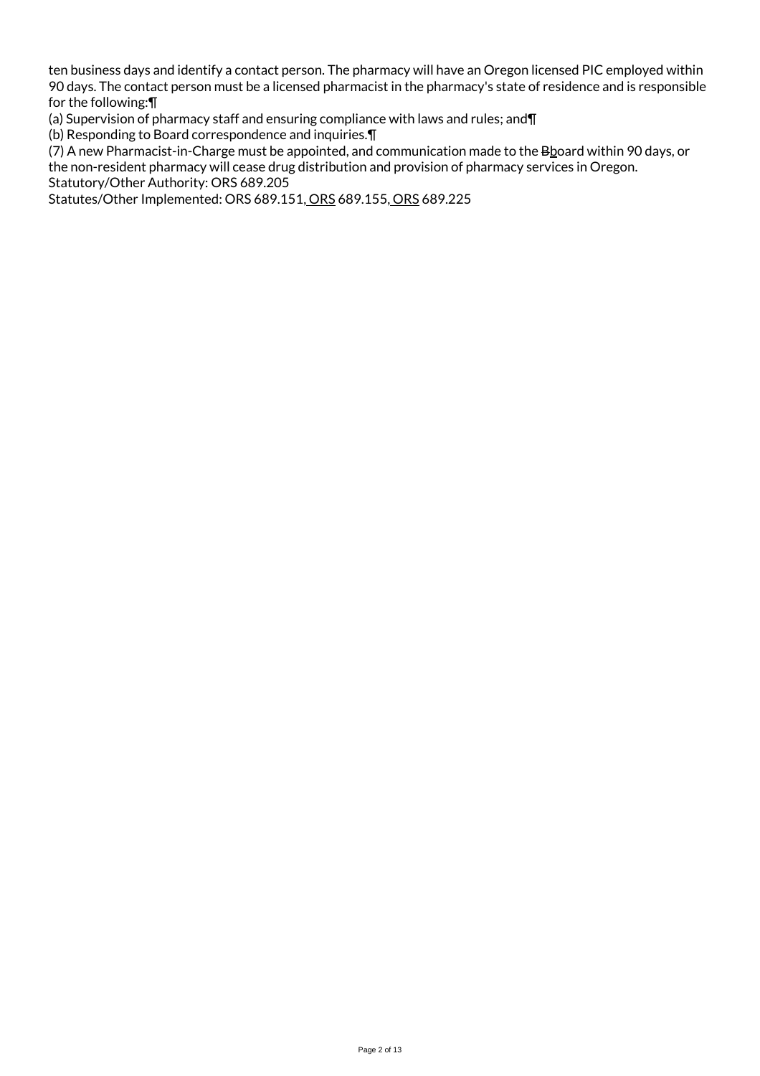ten business days and identify a contact person. The pharmacy will have an Oregon licensed PIC employed within 90 days. The contact person must be a licensed pharmacist in the pharmacy's state of residence and is responsible for the following:¶

(a) Supervision of pharmacy staff and ensuring compliance with laws and rules; and¶

(b) Responding to Board correspondence and inquiries.¶

(7) A new Pharmacist-in-Charge must be appointed, and communication made to the Bhoard within 90 days, or the non-resident pharmacy will cease drug distribution and provision of pharmacy services in Oregon.

Statutory/Other Authority: ORS 689.205

Statutes/Other Implemented: ORS 689.151, ORS 689.155, ORS 689.225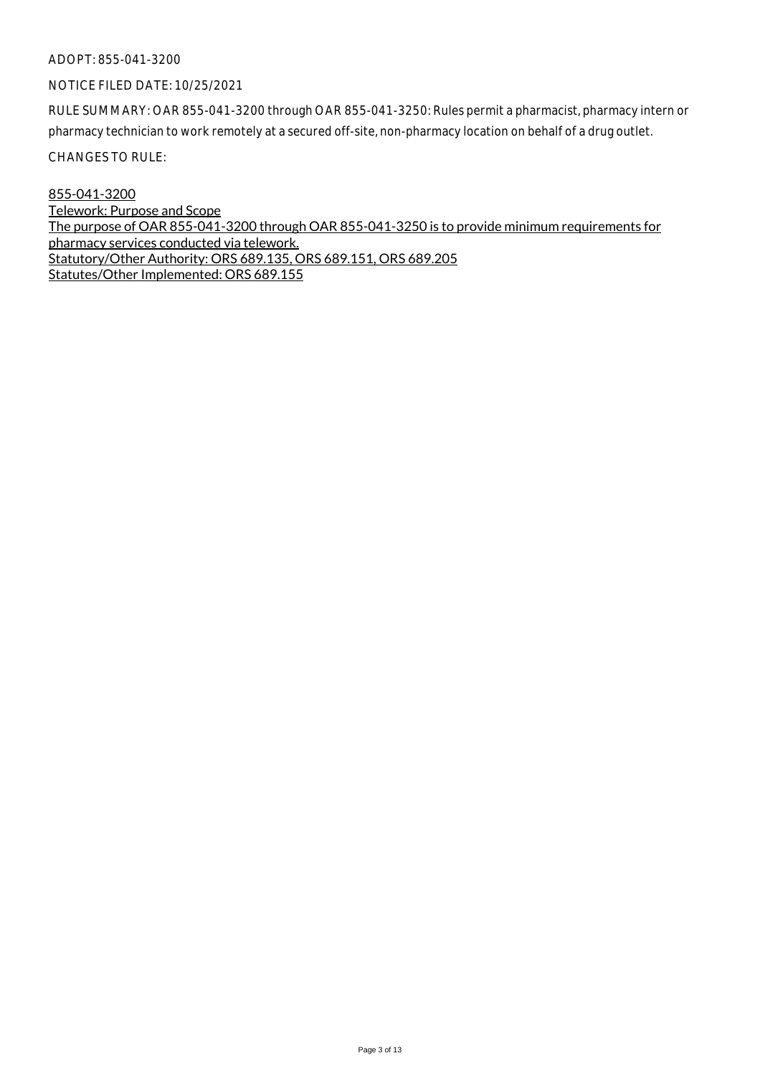#### NOTICE FILED DATE: 10/25/2021

RULE SUMMARY: OAR 855-041-3200 through OAR 855-041-3250: Rules permit a pharmacist, pharmacy intern or pharmacy technician to work remotely at a secured off-site, non-pharmacy location on behalf of a drug outlet.

CHANGES TO RULE:

855-041-3200 Telework: Purpose and Scope The purpose of OAR 855-041-3200 through OAR 855-041-3250 is to provide minimum requirements for pharmacy services conducted via telework. Statutory/Other Authority: ORS 689.135, ORS 689.151, ORS 689.205 Statutes/Other Implemented: ORS 689.155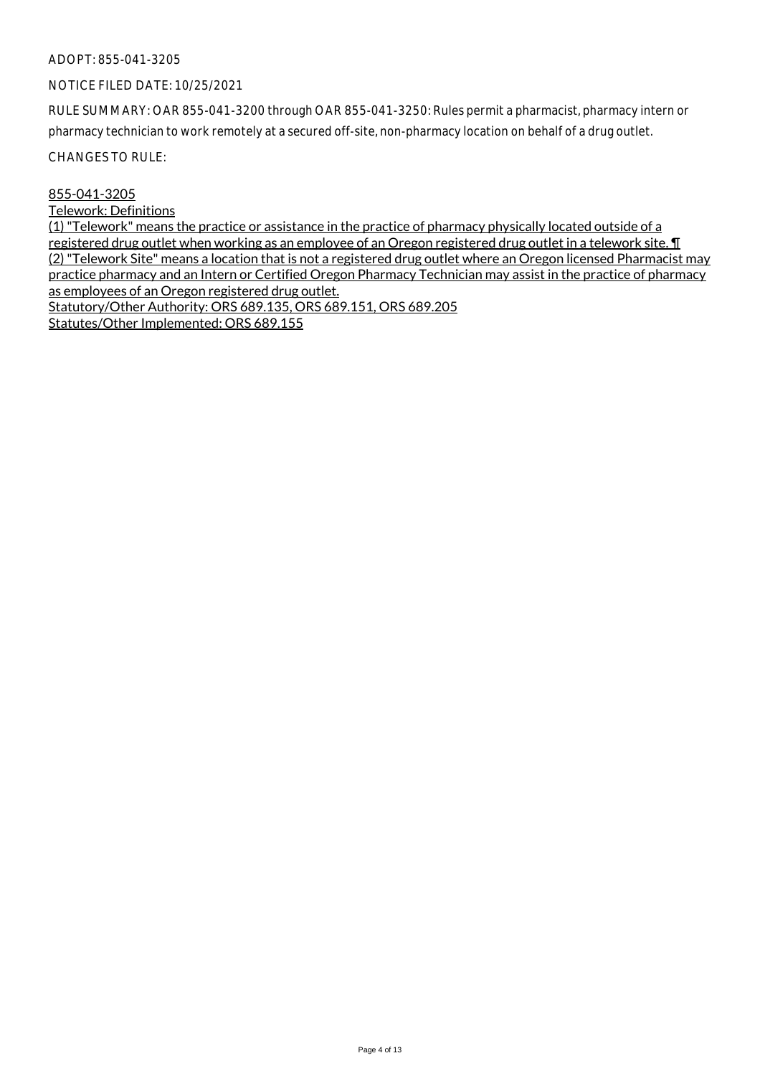#### NOTICE FILED DATE: 10/25/2021

RULE SUMMARY: OAR 855-041-3200 through OAR 855-041-3250: Rules permit a pharmacist, pharmacy intern or pharmacy technician to work remotely at a secured off-site, non-pharmacy location on behalf of a drug outlet.

CHANGES TO RULE:

#### 855-041-3205

#### Telework: Definitions

(1) "Telework" means the practice or assistance in the practice of pharmacy physically located outside of a registered drug outlet when working as an employee of an Oregon registered drug outlet in a telework site. ¶ (2) "Telework Site" means a location that is not a registered drug outlet where an Oregon licensed Pharmacist may practice pharmacy and an Intern or Certified Oregon Pharmacy Technician may assist in the practice of pharmacy as employees of an Oregon registered drug outlet. Statutory/Other Authority: ORS 689.135, ORS 689.151, ORS 689.205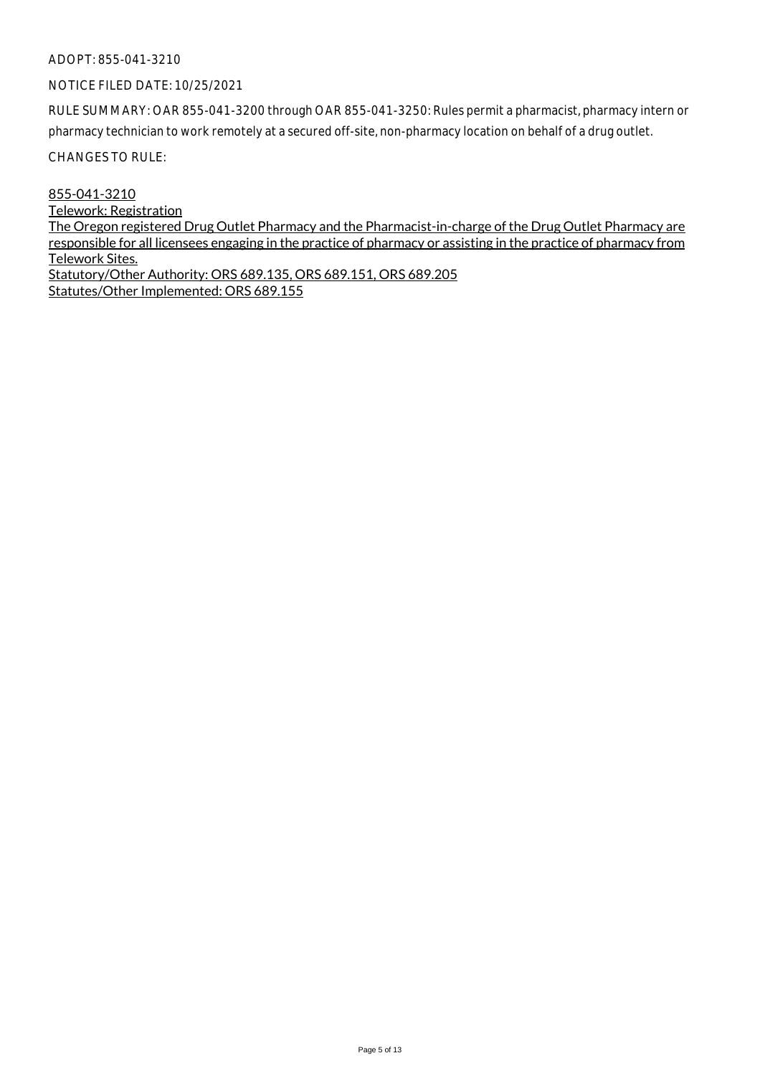#### NOTICE FILED DATE: 10/25/2021

RULE SUMMARY: OAR 855-041-3200 through OAR 855-041-3250: Rules permit a pharmacist, pharmacy intern or pharmacy technician to work remotely at a secured off-site, non-pharmacy location on behalf of a drug outlet.

CHANGES TO RULE:

855-041-3210 Telework: Registration The Oregon registered Drug Outlet Pharmacy and the Pharmacist-in-charge of the Drug Outlet Pharmacy are responsible for all licensees engaging in the practice of pharmacy or assisting in the practice of pharmacy from Telework Sites. Statutory/Other Authority: ORS 689.135, ORS 689.151, ORS 689.205 Statutes/Other Implemented: ORS 689.155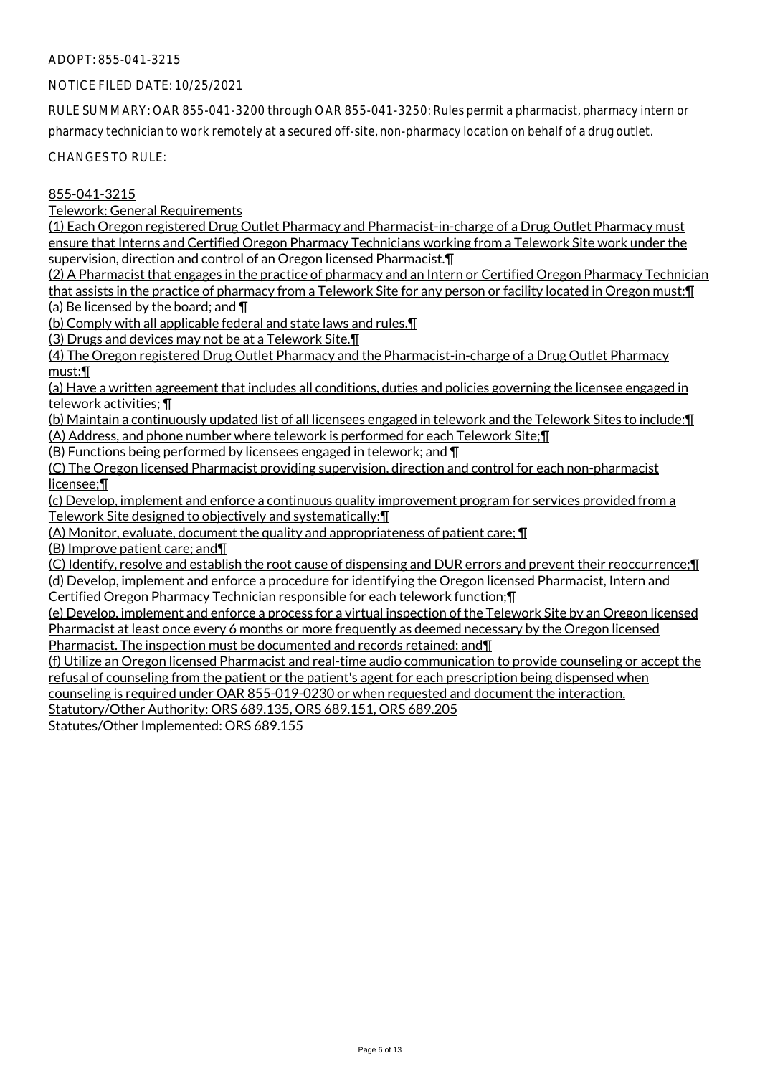#### NOTICE FILED DATE: 10/25/2021

RULE SUMMARY: OAR 855-041-3200 through OAR 855-041-3250: Rules permit a pharmacist, pharmacy intern or pharmacy technician to work remotely at a secured off-site, non-pharmacy location on behalf of a drug outlet.

CHANGES TO RULE:

# 855-041-3215

Telework: General Requirements

(1) Each Oregon registered Drug Outlet Pharmacy and Pharmacist-in-charge of a Drug Outlet Pharmacy must ensure that Interns and Certified Oregon Pharmacy Technicians working from a Telework Site work under the supervision, direction and control of an Oregon licensed Pharmacist.¶

(2) A Pharmacist that engages in the practice of pharmacy and an Intern or Certified Oregon Pharmacy Technician that assists in the practice of pharmacy from a Telework Site for any person or facility located in Oregon must:¶ (a) Be licensed by the board; and  $\P$ 

(b) Comply with all applicable federal and state laws and rules.¶

(3) Drugs and devices may not be at a Telework Site.¶

(4) The Oregon registered Drug Outlet Pharmacy and the Pharmacist-in-charge of a Drug Outlet Pharmacy must:¶

(a) Have a written agreement that includes all conditions, duties and policies governing the licensee engaged in telework activities; ¶

(b) Maintain a continuously updated list of all licensees engaged in telework and the Telework Sites to include:¶ (A) Address, and phone number where telework is performed for each Telework Site;¶

(B) Functions being performed by licensees engaged in telework; and ¶

(C) The Oregon licensed Pharmacist providing supervision, direction and control for each non-pharmacist licensee;¶

(c) Develop, implement and enforce a continuous quality improvement program for services provided from a Telework Site designed to objectively and systematically:¶

(A) Monitor, evaluate, document the quality and appropriateness of patient care; ¶

(B) Improve patient care; and¶

(C) Identify, resolve and establish the root cause of dispensing and DUR errors and prevent their reoccurrence;¶ (d) Develop, implement and enforce a procedure for identifying the Oregon licensed Pharmacist, Intern and Certified Oregon Pharmacy Technician responsible for each telework function;¶

(e) Develop, implement and enforce a process for a virtual inspection of the Telework Site by an Oregon licensed Pharmacist at least once every 6 months or more frequently as deemed necessary by the Oregon licensed Pharmacist. The inspection must be documented and records retained; and¶

(f) Utilize an Oregon licensed Pharmacist and real-time audio communication to provide counseling or accept the refusal of counseling from the patient or the patient's agent for each prescription being dispensed when counseling is required under OAR 855-019-0230 or when requested and document the interaction.

Statutory/Other Authority: ORS 689.135, ORS 689.151, ORS 689.205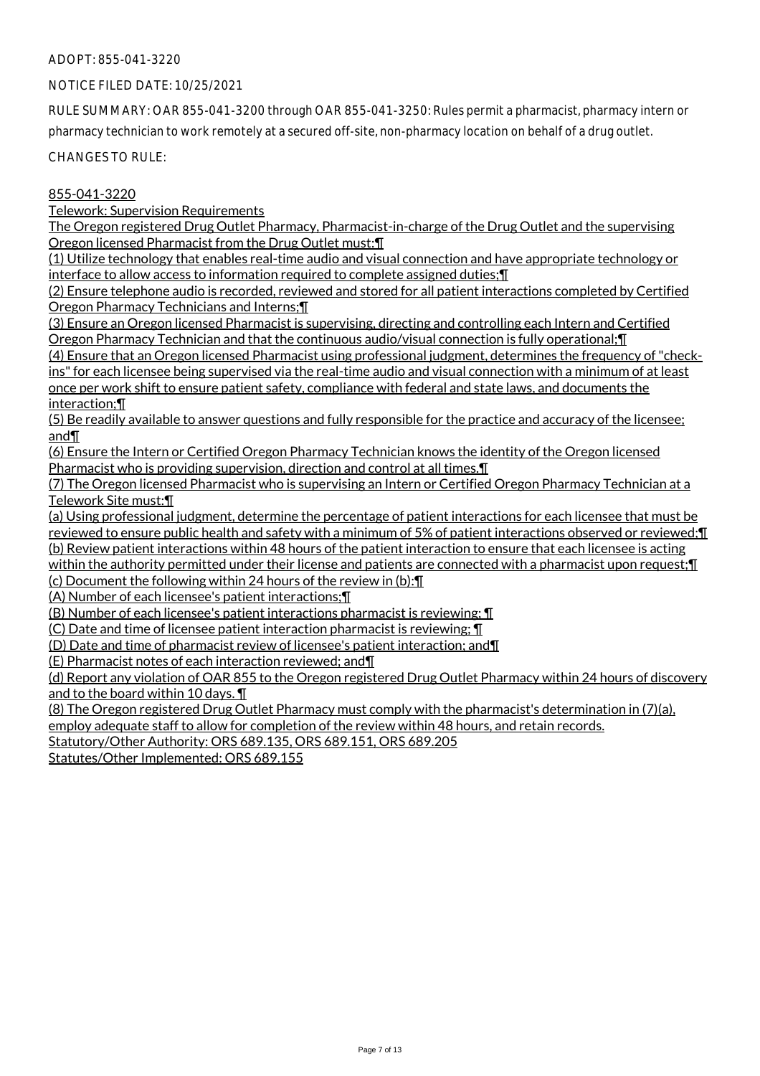#### NOTICE FILED DATE: 10/25/2021

RULE SUMMARY: OAR 855-041-3200 through OAR 855-041-3250: Rules permit a pharmacist, pharmacy intern or pharmacy technician to work remotely at a secured off-site, non-pharmacy location on behalf of a drug outlet.

CHANGES TO RULE:

# 855-041-3220

Telework: Supervision Requirements

The Oregon registered Drug Outlet Pharmacy, Pharmacist-in-charge of the Drug Outlet and the supervising Oregon licensed Pharmacist from the Drug Outlet must:¶

(1) Utilize technology that enables real-time audio and visual connection and have appropriate technology or interface to allow access to information required to complete assigned duties;¶

(2) Ensure telephone audio is recorded, reviewed and stored for all patient interactions completed by Certified Oregon Pharmacy Technicians and Interns;¶

(3) Ensure an Oregon licensed Pharmacist is supervising, directing and controlling each Intern and Certified Oregon Pharmacy Technician and that the continuous audio/visual connection is fully operational;¶

(4) Ensure that an Oregon licensed Pharmacist using professional judgment, determines the frequency of "checkins" for each licensee being supervised via the real-time audio and visual connection with a minimum of at least once per work shift to ensure patient safety, compliance with federal and state laws, and documents the interaction;¶

(5) Be readily available to answer questions and fully responsible for the practice and accuracy of the licensee; and¶

(6) Ensure the Intern or Certified Oregon Pharmacy Technician knows the identity of the Oregon licensed Pharmacist who is providing supervision, direction and control at all times.¶

(7) The Oregon licensed Pharmacist who is supervising an Intern or Certified Oregon Pharmacy Technician at a Telework Site must:¶

(a) Using professional judgment, determine the percentage of patient interactions for each licensee that must be reviewed to ensure public health and safety with a minimum of 5% of patient interactions observed or reviewed;¶ (b) Review patient interactions within 48 hours of the patient interaction to ensure that each licensee is acting within the authority permitted under their license and patients are connected with a pharmacist upon request; I

(c) Document the following within 24 hours of the review in (b):¶

(A) Number of each licensee's patient interactions;¶

(B) Number of each licensee's patient interactions pharmacist is reviewing; ¶

(C) Date and time of licensee patient interaction pharmacist is reviewing; ¶

(D) Date and time of pharmacist review of licensee's patient interaction; and¶

(E) Pharmacist notes of each interaction reviewed; and¶

(d) Report any violation of OAR 855 to the Oregon registered Drug Outlet Pharmacy within 24 hours of discovery and to the board within 10 days. ¶

(8) The Oregon registered Drug Outlet Pharmacy must comply with the pharmacist's determination in (7)(a), employ adequate staff to allow for completion of the review within 48 hours, and retain records.

Statutory/Other Authority: ORS 689.135, ORS 689.151, ORS 689.205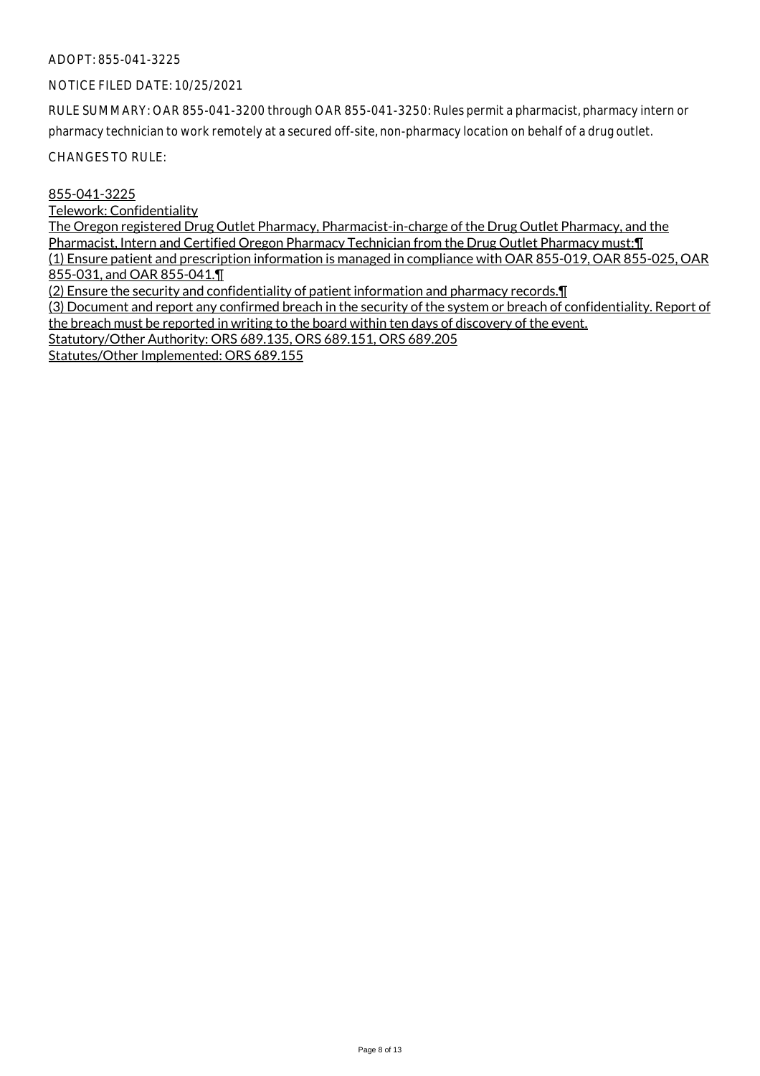#### NOTICE FILED DATE: 10/25/2021

RULE SUMMARY: OAR 855-041-3200 through OAR 855-041-3250: Rules permit a pharmacist, pharmacy intern or pharmacy technician to work remotely at a secured off-site, non-pharmacy location on behalf of a drug outlet.

CHANGES TO RULE:

855-041-3225

Telework: Confidentiality

The Oregon registered Drug Outlet Pharmacy, Pharmacist-in-charge of the Drug Outlet Pharmacy, and the Pharmacist, Intern and Certified Oregon Pharmacy Technician from the Drug Outlet Pharmacy must:¶ (1) Ensure patient and prescription information is managed in compliance with OAR 855-019, OAR 855-025, OAR 855-031, and OAR 855-041.¶ (2) Ensure the security and confidentiality of patient information and pharmacy records.¶

(3) Document and report any confirmed breach in the security of the system or breach of confidentiality. Report of the breach must be reported in writing to the board within ten days of discovery of the event. Statutory/Other Authority: ORS 689.135, ORS 689.151, ORS 689.205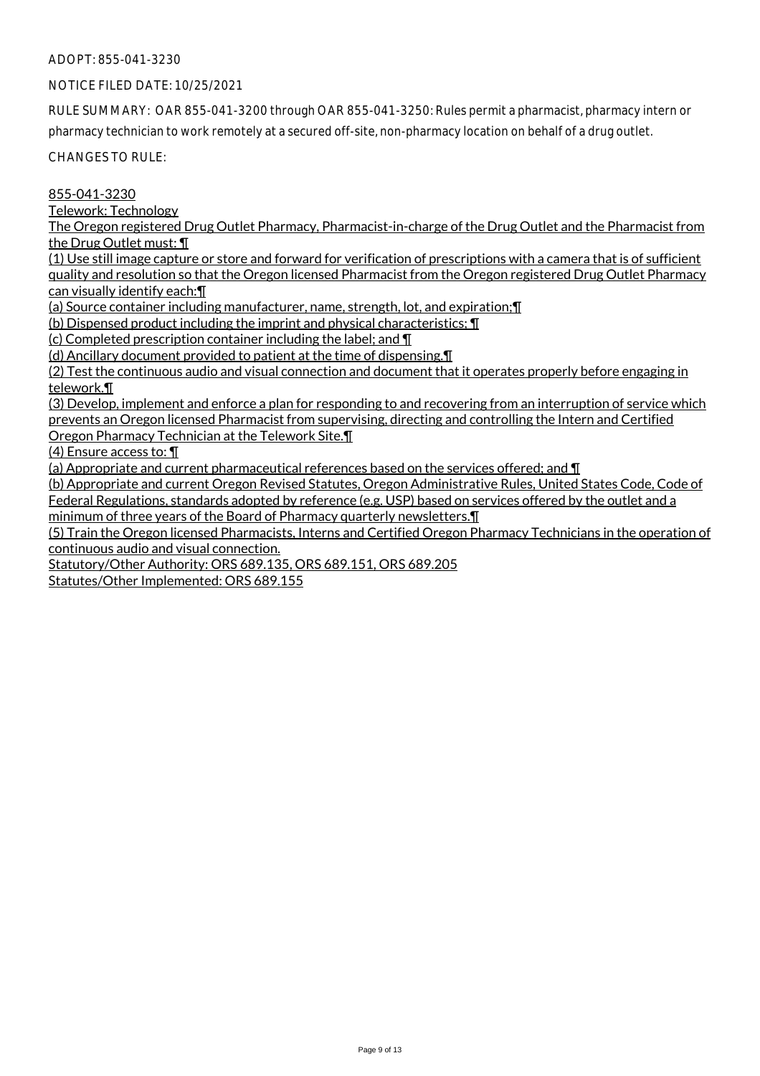# NOTICE FILED DATE: 10/25/2021

RULE SUMMARY: OAR 855-041-3200 through OAR 855-041-3250: Rules permit a pharmacist, pharmacy intern or pharmacy technician to work remotely at a secured off-site, non-pharmacy location on behalf of a drug outlet.

CHANGES TO RULE:

855-041-3230

Telework: Technology

The Oregon registered Drug Outlet Pharmacy, Pharmacist-in-charge of the Drug Outlet and the Pharmacist from the Drug Outlet must: ¶

(1) Use still image capture or store and forward for verification of prescriptions with a camera that is of sufficient quality and resolution so that the Oregon licensed Pharmacist from the Oregon registered Drug Outlet Pharmacy can visually identify each:¶

(a) Source container including manufacturer, name, strength, lot, and expiration;¶

(b) Dispensed product including the imprint and physical characteristics; ¶

(c) Completed prescription container including the label; and ¶

(d) Ancillary document provided to patient at the time of dispensing.¶

(2) Test the continuous audio and visual connection and document that it operates properly before engaging in telework.¶

(3) Develop, implement and enforce a plan for responding to and recovering from an interruption of service which prevents an Oregon licensed Pharmacist from supervising, directing and controlling the Intern and Certified Oregon Pharmacy Technician at the Telework Site.¶

(4) Ensure access to: ¶

(a) Appropriate and current pharmaceutical references based on the services offered; and ¶

(b) Appropriate and current Oregon Revised Statutes, Oregon Administrative Rules, United States Code, Code of Federal Regulations, standards adopted by reference (e.g. USP) based on services offered by the outlet and a

minimum of three years of the Board of Pharmacy quarterly newsletters.¶

(5) Train the Oregon licensed Pharmacists, Interns and Certified Oregon Pharmacy Technicians in the operation of continuous audio and visual connection.

Statutory/Other Authority: ORS 689.135, ORS 689.151, ORS 689.205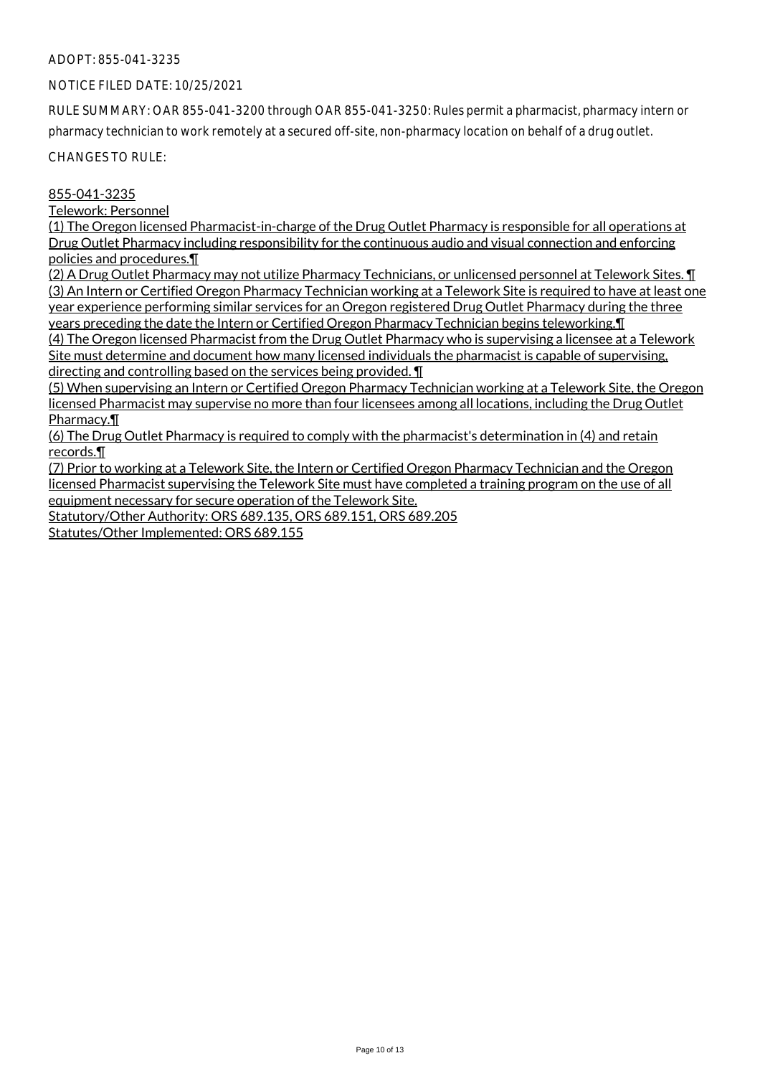#### NOTICE FILED DATE: 10/25/2021

RULE SUMMARY: OAR 855-041-3200 through OAR 855-041-3250: Rules permit a pharmacist, pharmacy intern or pharmacy technician to work remotely at a secured off-site, non-pharmacy location on behalf of a drug outlet.

CHANGES TO RULE:

# 855-041-3235

Telework: Personnel

(1) The Oregon licensed Pharmacist-in-charge of the Drug Outlet Pharmacy is responsible for all operations at Drug Outlet Pharmacy including responsibility for the continuous audio and visual connection and enforcing policies and procedures.¶

(2) A Drug Outlet Pharmacy may not utilize Pharmacy Technicians, or unlicensed personnel at Telework Sites. ¶ (3) An Intern or Certified Oregon Pharmacy Technician working at a Telework Site is required to have at least one year experience performing similar services for an Oregon registered Drug Outlet Pharmacy during the three years preceding the date the Intern or Certified Oregon Pharmacy Technician begins teleworking.¶ (4) The Oregon licensed Pharmacist from the Drug Outlet Pharmacy who is supervising a licensee at a Telework

Site must determine and document how many licensed individuals the pharmacist is capable of supervising, directing and controlling based on the services being provided. ¶

(5) When supervising an Intern or Certified Oregon Pharmacy Technician working at a Telework Site, the Oregon licensed Pharmacist may supervise no more than four licensees among all locations, including the Drug Outlet Pharmacy.¶

(6) The Drug Outlet Pharmacy is required to comply with the pharmacist's determination in (4) and retain records.¶

(7) Prior to working at a Telework Site, the Intern or Certified Oregon Pharmacy Technician and the Oregon licensed Pharmacist supervising the Telework Site must have completed a training program on the use of all equipment necessary for secure operation of the Telework Site.

Statutory/Other Authority: ORS 689.135, ORS 689.151, ORS 689.205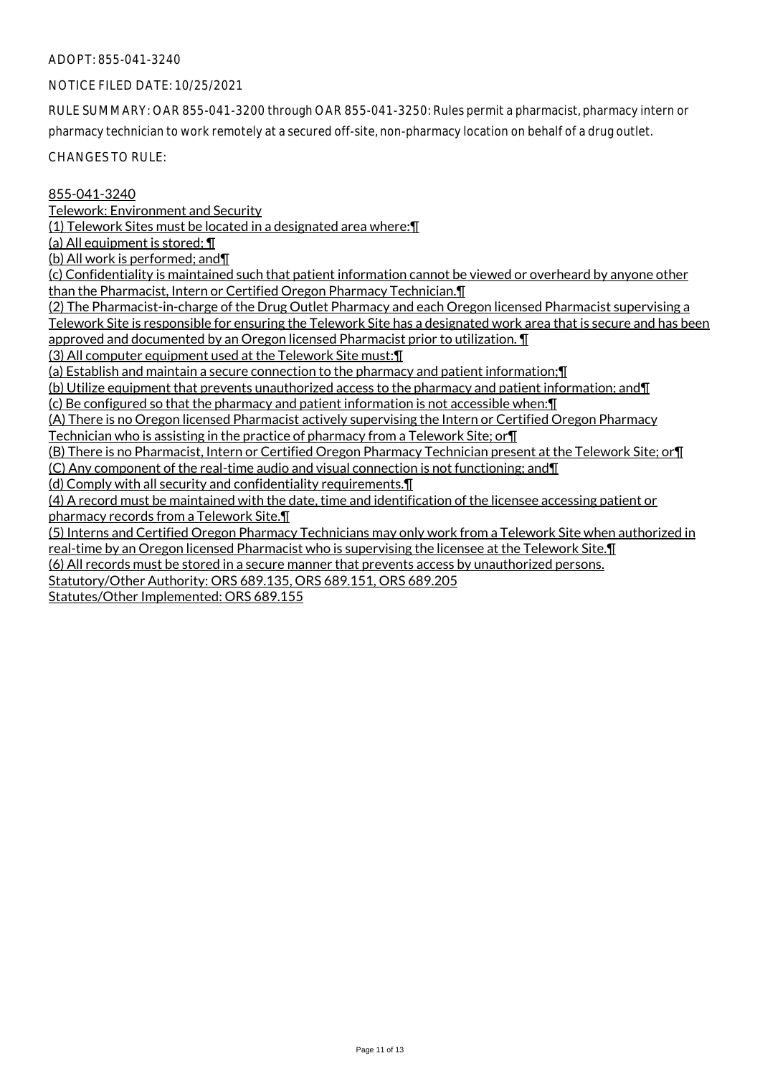#### NOTICE FILED DATE: 10/25/2021

RULE SUMMARY: OAR 855-041-3200 through OAR 855-041-3250: Rules permit a pharmacist, pharmacy intern or pharmacy technician to work remotely at a secured off-site, non-pharmacy location on behalf of a drug outlet.

CHANGES TO RULE:

# 855-041-3240

Telework: Environment and Security

(1) Telework Sites must be located in a designated area where:¶

(a) All equipment is stored; ¶

(b) All work is performed; and¶

(c) Confidentiality is maintained such that patient information cannot be viewed or overheard by anyone other than the Pharmacist, Intern or Certified Oregon Pharmacy Technician.¶

(2) The Pharmacist-in-charge of the Drug Outlet Pharmacy and each Oregon licensed Pharmacist supervising a Telework Site is responsible for ensuring the Telework Site has a designated work area that is secure and has been approved and documented by an Oregon licensed Pharmacist prior to utilization. ¶

(3) All computer equipment used at the Telework Site must:¶

(a) Establish and maintain a secure connection to the pharmacy and patient information;¶

(b) Utilize equipment that prevents unauthorized access to the pharmacy and patient information; and¶

(c) Be configured so that the pharmacy and patient information is not accessible when:¶

(A) There is no Oregon licensed Pharmacist actively supervising the Intern or Certified Oregon Pharmacy Technician who is assisting in the practice of pharmacy from a Telework Site; or¶

(B) There is no Pharmacist, Intern or Certified Oregon Pharmacy Technician present at the Telework Site; or¶ (C) Any component of the real-time audio and visual connection is not functioning; and¶

(d) Comply with all security and confidentiality requirements.¶

(4) A record must be maintained with the date, time and identification of the licensee accessing patient or pharmacy records from a Telework Site.¶

(5) Interns and Certified Oregon Pharmacy Technicians may only work from a Telework Site when authorized in real-time by an Oregon licensed Pharmacist who is supervising the licensee at the Telework Site.¶

(6) All records must be stored in a secure manner that prevents access by unauthorized persons.

Statutory/Other Authority: ORS 689.135, ORS 689.151, ORS 689.205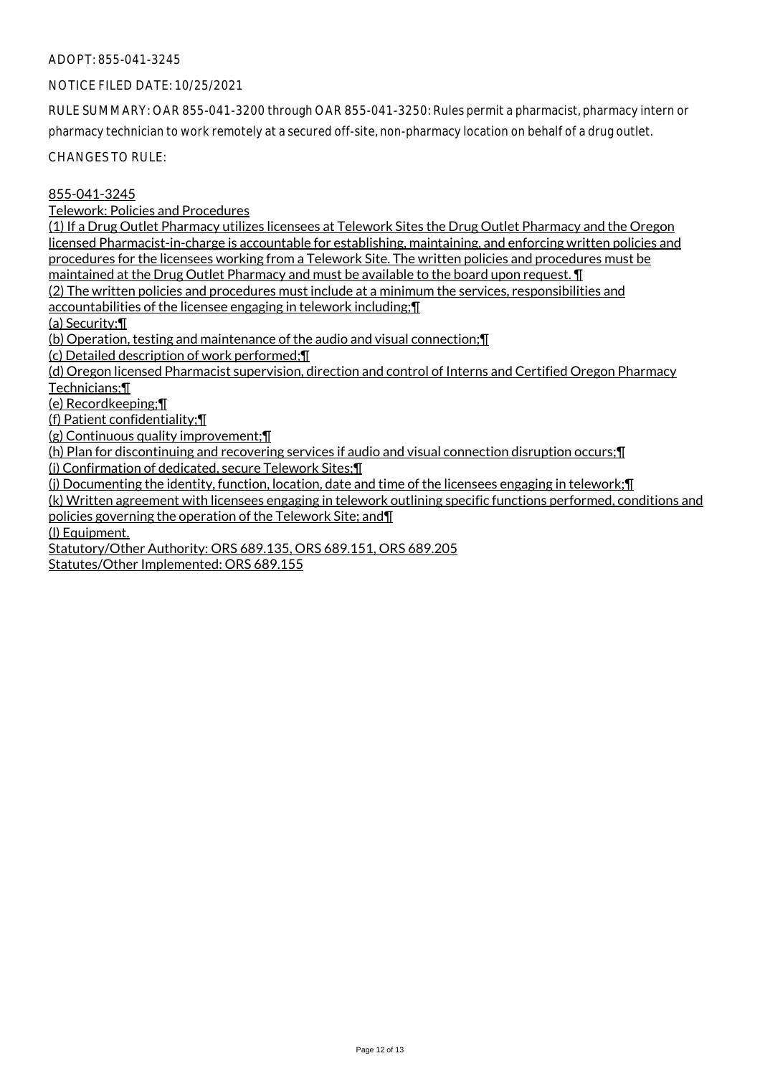#### NOTICE FILED DATE: 10/25/2021

RULE SUMMARY: OAR 855-041-3200 through OAR 855-041-3250: Rules permit a pharmacist, pharmacy intern or pharmacy technician to work remotely at a secured off-site, non-pharmacy location on behalf of a drug outlet.

CHANGES TO RULE:

855-041-3245

Telework: Policies and Procedures

(1) If a Drug Outlet Pharmacy utilizes licensees at Telework Sites the Drug Outlet Pharmacy and the Oregon licensed Pharmacist-in-charge is accountable for establishing, maintaining, and enforcing written policies and procedures for the licensees working from a Telework Site. The written policies and procedures must be maintained at the Drug Outlet Pharmacy and must be available to the board upon request. ¶

(2) The written policies and procedures must include at a minimum the services, responsibilities and accountabilities of the licensee engaging in telework including;¶

(a) Security;¶

(b) Operation, testing and maintenance of the audio and visual connection;¶

(c) Detailed description of work performed;¶

(d) Oregon licensed Pharmacist supervision, direction and control of Interns and Certified Oregon Pharmacy Technicians;¶

(e) Recordkeeping;¶

(f) Patient confidentiality;¶

(g) Continuous quality improvement;¶

(h) Plan for discontinuing and recovering services if audio and visual connection disruption occurs;¶

(i) Confirmation of dedicated, secure Telework Sites;¶

(j) Documenting the identity, function, location, date and time of the licensees engaging in telework;¶

(k) Written agreement with licensees engaging in telework outlining specific functions performed, conditions and policies governing the operation of the Telework Site; and¶

(l) Equipment.

Statutory/Other Authority: ORS 689.135, ORS 689.151, ORS 689.205 Statutes/Other Implemented: ORS 689.155